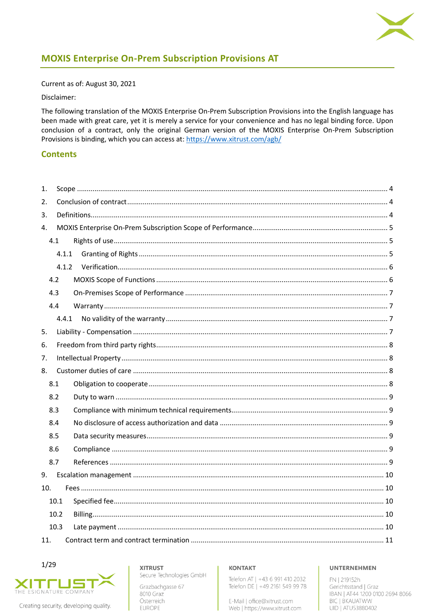

# **MOXIS Enterprise On-Prem Subscription Provisions AT**

Current as of: August 30, 2021

Disclaimer:

The following translation of the MOXIS Enterprise On-Prem Subscription Provisions into the English language has been made with great care, yet it is merely a service for your convenience and has no legal binding force. Upon conclusion of a contract, only the original German version of the MOXIS Enterprise On-Prem Subscription Provisions is binding, which you can access at: https://www.xitrust.com/agb/

## **Contents**

| 1.  |       |       |  |
|-----|-------|-------|--|
| 2.  |       |       |  |
| 3.  |       |       |  |
| 4.  |       |       |  |
|     | 4.1   |       |  |
|     | 4.1.1 |       |  |
|     |       | 4.1.2 |  |
|     | 4.2   |       |  |
|     | 4.3   |       |  |
|     | 4.4   |       |  |
|     |       | 4.4.1 |  |
| 5.  |       |       |  |
| 6.  |       |       |  |
| 7.  |       |       |  |
| 8.  |       |       |  |
|     | 8.1   |       |  |
|     | 8.2   |       |  |
|     | 8.3   |       |  |
|     | 8.4   |       |  |
|     | 8.5   |       |  |
|     | 8.6   |       |  |
|     | 8.7   |       |  |
| 9.  |       |       |  |
| 10. |       |       |  |
|     | 10.1  |       |  |
|     | 10.2  |       |  |
|     | 10.3  |       |  |
| 11. |       |       |  |

 $1/29$ 



Creating security, developing quality.

**XITRUST** Secure Technologies GmbH Grazbachgasse 67 8010 Graz

Österreich

**EUROPE** 

#### **KONTAKT**

Telefon AT | +43 6 991 410 2032 Telefon DE | +49 2161 549 99 78

E-Mail | office@xitrust.com Web | https://www.xitrust.com

#### **UNTERNEHMEN**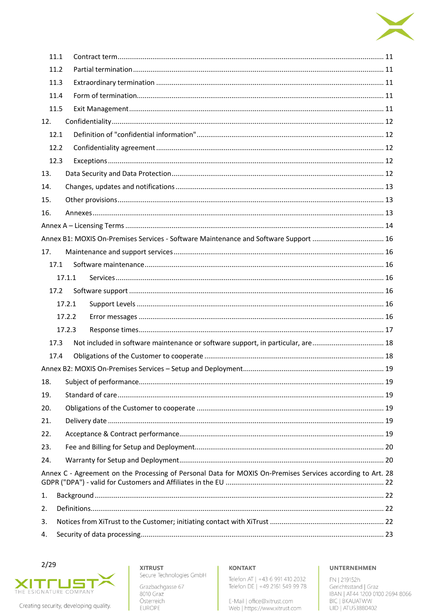

|     | 11.1 |                                                                                                            |  |  |  |
|-----|------|------------------------------------------------------------------------------------------------------------|--|--|--|
|     | 11.2 |                                                                                                            |  |  |  |
|     | 11.3 |                                                                                                            |  |  |  |
|     | 11.4 |                                                                                                            |  |  |  |
|     | 11.5 |                                                                                                            |  |  |  |
| 12. |      |                                                                                                            |  |  |  |
|     | 12.1 |                                                                                                            |  |  |  |
|     | 12.2 |                                                                                                            |  |  |  |
|     | 12.3 |                                                                                                            |  |  |  |
| 13. |      |                                                                                                            |  |  |  |
| 14. |      |                                                                                                            |  |  |  |
| 15. |      |                                                                                                            |  |  |  |
| 16. |      |                                                                                                            |  |  |  |
|     |      |                                                                                                            |  |  |  |
|     |      | Annex B1: MOXIS On-Premises Services - Software Maintenance and Software Support  16                       |  |  |  |
| 17. |      |                                                                                                            |  |  |  |
|     | 17.1 |                                                                                                            |  |  |  |
|     |      | 17.1.1                                                                                                     |  |  |  |
|     | 17.2 |                                                                                                            |  |  |  |
|     |      | 17.2.1                                                                                                     |  |  |  |
|     |      | 17.2.2                                                                                                     |  |  |  |
|     |      | 17.2.3                                                                                                     |  |  |  |
|     | 17.3 | Not included in software maintenance or software support, in particular, are 18                            |  |  |  |
|     | 17.4 |                                                                                                            |  |  |  |
|     |      |                                                                                                            |  |  |  |
| 18. |      |                                                                                                            |  |  |  |
| 19. |      |                                                                                                            |  |  |  |
| 20. |      |                                                                                                            |  |  |  |
| 21. |      |                                                                                                            |  |  |  |
| 22. |      |                                                                                                            |  |  |  |
| 23. |      |                                                                                                            |  |  |  |
| 24. |      |                                                                                                            |  |  |  |
|     |      | Annex C - Agreement on the Processing of Personal Data for MOXIS On-Premises Services according to Art. 28 |  |  |  |
| 1.  |      |                                                                                                            |  |  |  |
| 2.  |      |                                                                                                            |  |  |  |
| 3.  |      |                                                                                                            |  |  |  |
| 4.  |      |                                                                                                            |  |  |  |



Creating security, developing quality.

**XITRUST** Secure Technologies GmbH

Grazbachgasse 67<br>8010 Graz Österreich **EUROPE** 

#### **KONTAKT**

Telefon AT | +43 6 991 410 2032<br>Telefon DE | +49 2161 549 99 78

E-Mail | office@xitrust.com<br>Web | https://www.xitrust.com

#### **UNTERNEHMEN**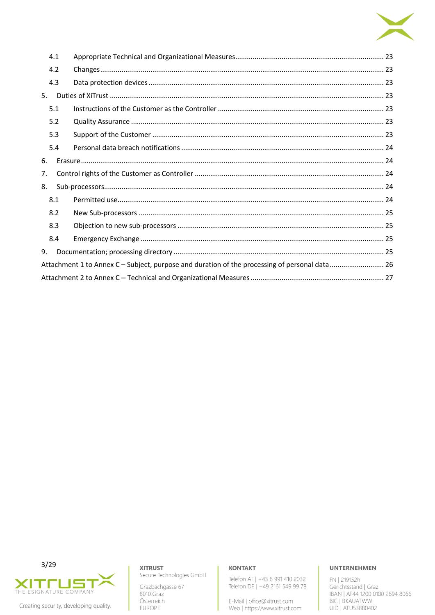

|    | 4.1 |                                                                                               |  |  |
|----|-----|-----------------------------------------------------------------------------------------------|--|--|
|    | 4.2 |                                                                                               |  |  |
|    | 4.3 |                                                                                               |  |  |
| 5. |     |                                                                                               |  |  |
|    | 5.1 |                                                                                               |  |  |
|    | 5.2 |                                                                                               |  |  |
|    | 5.3 |                                                                                               |  |  |
|    | 5.4 |                                                                                               |  |  |
| 6. |     |                                                                                               |  |  |
| 7. |     |                                                                                               |  |  |
| 8. |     |                                                                                               |  |  |
|    | 8.1 |                                                                                               |  |  |
|    | 8.2 |                                                                                               |  |  |
|    | 8.3 |                                                                                               |  |  |
|    | 8.4 |                                                                                               |  |  |
| 9. |     |                                                                                               |  |  |
|    |     | Attachment 1 to Annex C – Subject, purpose and duration of the processing of personal data 26 |  |  |
|    |     |                                                                                               |  |  |



**XITRUST** Secure Technologies GmbH

Grazbachgasse 67<br>8010 Graz Österreich **EUROPE** 

### **KONTAKT**

Telefon AT | +43 6 991 410 2032<br>Telefon DE | +49 2161 549 99 78

E-Mail | office@xitrust.com<br>Web | https://www.xitrust.com

#### **UNTERNEHMEN**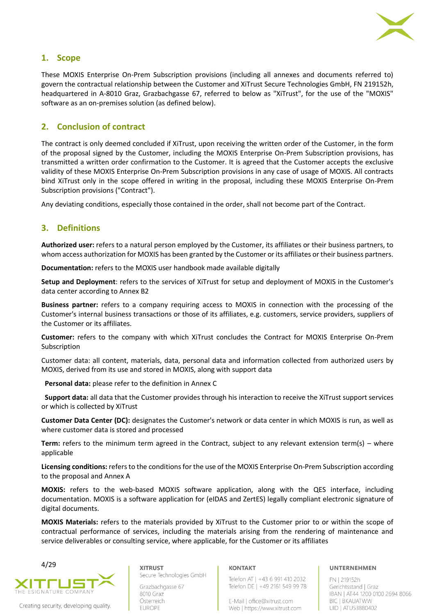

## <span id="page-3-0"></span>**1. Scope**

These MOXIS Enterprise On-Prem Subscription provisions (including all annexes and documents referred to) govern the contractual relationship between the Customer and XiTrust Secure Technologies GmbH, FN 219152h, headquartered in A-8010 Graz, Grazbachgasse 67, referred to below as "XiTrust", for the use of the "MOXIS" software as an on-premises solution (as defined below).

## <span id="page-3-1"></span>**2. Conclusion of contract**

The contract is only deemed concluded if XiTrust, upon receiving the written order of the Customer, in the form of the proposal signed by the Customer, including the MOXIS Enterprise On-Prem Subscription provisions, has transmitted a written order confirmation to the Customer. It is agreed that the Customer accepts the exclusive validity of these MOXIS Enterprise On-Prem Subscription provisions in any case of usage of MOXIS. All contracts bind XiTrust only in the scope offered in writing in the proposal, including these MOXIS Enterprise On-Prem Subscription provisions ("Contract").

Any deviating conditions, especially those contained in the order, shall not become part of the Contract.

## <span id="page-3-2"></span>**3. Definitions**

**Authorized user:** refers to a natural person employed by the Customer, its affiliates or their business partners, to whom access authorization for MOXIS has been granted by the Customer or its affiliates or their business partners.

**Documentation:** refers to the MOXIS user handbook made available digitally

**Setup and Deployment**: refers to the services of XiTrust for setup and deployment of MOXIS in the Customer's data center according to Annex B2

**Business partner:** refers to a company requiring access to MOXIS in connection with the processing of the Customer's internal business transactions or those of its affiliates, e.g. customers, service providers, suppliers of the Customer or its affiliates.

**Customer:** refers to the company with which XiTrust concludes the Contract for MOXIS Enterprise On-Prem Subscription

Customer data: all content, materials, data, personal data and information collected from authorized users by MOXIS, derived from its use and stored in MOXIS, along with support data

 **Personal data:** please refer to the definition in Annex C

 **Support data:** all data that the Customer provides through his interaction to receive the XiTrust support services or which is collected by XiTrust

**Customer Data Center (DC):** designates the Customer's network or data center in which MOXIS is run, as well as where customer data is stored and processed

**Term:** refers to the minimum term agreed in the Contract, subject to any relevant extension term(s) – where applicable

**Licensing conditions:** refers to the conditions for the use of the MOXIS Enterprise On-Prem Subscription according to the proposal and Annex A

**MOXIS:** refers to the web-based MOXIS software application, along with the QES interface, including documentation. MOXIS is a software application for (eIDAS and ZertES) legally compliant electronic signature of digital documents.

**MOXIS Materials:** refers to the materials provided by XiTrust to the Customer prior to or within the scope of contractual performance of services, including the materials arising from the rendering of maintenance and service deliverables or consulting service, where applicable, for the Customer or its affiliates



Creating security, developing quality.

**XITRUST** Secure Technologies GmbH

Grazbachgasse 67 8010 Graz Österreich **EUROPE** 

**KONTAKT** 

Telefon AT | +43 6 991 410 2032 Telefon DE | +49 2161 549 99 78

E-Mail | office@xitrust.com Web | https://www.xitrust.com

#### **UNTERNEHMEN**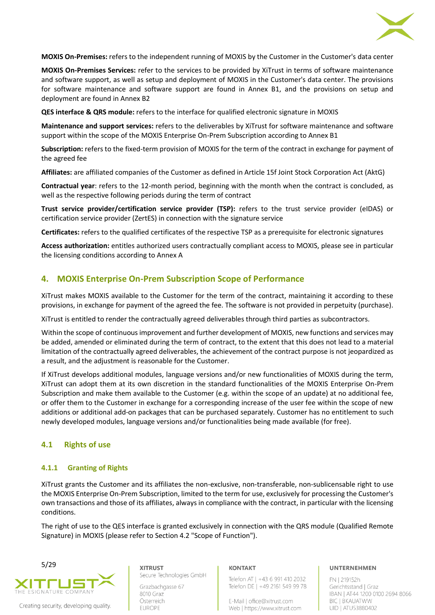

**MOXIS On-Premises:** refers to the independent running of MOXIS by the Customer in the Customer's data center

**MOXIS On-Premises Services:** refer to the services to be provided by XiTrust in terms of software maintenance and software support, as well as setup and deployment of MOXIS in the Customer's data center. The provisions for software maintenance and software support are found in Annex B1, and the provisions on setup and deployment are found in Annex B2

**QES interface & QRS module:** refers to the interface for qualified electronic signature in MOXIS

**Maintenance and support services:** refers to the deliverables by XiTrust for software maintenance and software support within the scope of the MOXIS Enterprise On-Prem Subscription according to Annex B1

**Subscription:** refers to the fixed-term provision of MOXIS for the term of the contract in exchange for payment of the agreed fee

**Affiliates:** are affiliated companies of the Customer as defined in Article 15f Joint Stock Corporation Act (AktG)

**Contractual year**: refers to the 12-month period, beginning with the month when the contract is concluded, as well as the respective following periods during the term of contract

**Trust service provider/certification service provider (TSP):** refers to the trust service provider (eIDAS) or certification service provider (ZertES) in connection with the signature service

**Certificates:** refers to the qualified certificates of the respective TSP as a prerequisite for electronic signatures

**Access authorization:** entitles authorized users contractually compliant access to MOXIS, please see in particular the licensing conditions according to Annex A

## <span id="page-4-0"></span>**4. MOXIS Enterprise On-Prem Subscription Scope of Performance**

XiTrust makes MOXIS available to the Customer for the term of the contract, maintaining it according to these provisions, in exchange for payment of the agreed the fee. The software is not provided in perpetuity (purchase).

XiTrust is entitled to render the contractually agreed deliverables through third parties as subcontractors.

Within the scope of continuous improvement and further development of MOXIS, new functions and services may be added, amended or eliminated during the term of contract, to the extent that this does not lead to a material limitation of the contractually agreed deliverables, the achievement of the contract purpose is not jeopardized as a result, and the adjustment is reasonable for the Customer.

If XiTrust develops additional modules, language versions and/or new functionalities of MOXIS during the term, XiTrust can adopt them at its own discretion in the standard functionalities of the MOXIS Enterprise On-Prem Subscription and make them available to the Customer (e.g. within the scope of an update) at no additional fee, or offer them to the Customer in exchange for a corresponding increase of the user fee within the scope of new additions or additional add-on packages that can be purchased separately. Customer has no entitlement to such newly developed modules, language versions and/or functionalities being made available (for free).

## <span id="page-4-1"></span>**4.1 Rights of use**

## <span id="page-4-2"></span>**4.1.1 Granting of Rights**

XiTrust grants the Customer and its affiliates the non-exclusive, non-transferable, non-sublicensable right to use the MOXIS Enterprise On-Prem Subscription, limited to the term for use, exclusively for processing the Customer's own transactions and those of its affiliates, always in compliance with the contract, in particular with the licensing conditions.

The right of use to the QES interface is granted exclusively in connection with the QRS module (Qualified Remote Signature) in MOXIS (please refer to Section 4.2 "Scope of Function").



**XITRUST** Secure Technologies GmbH

Grazbachgasse 67 8010 Graz Österreich **EUROPE** 

#### **KONTAKT**

Telefon AT | +43 6 991 410 2032 Telefon DE | +49 2161 549 99 78

E-Mail | office@xitrust.com Web | https://www.xitrust.com

#### **UNTERNEHMEN**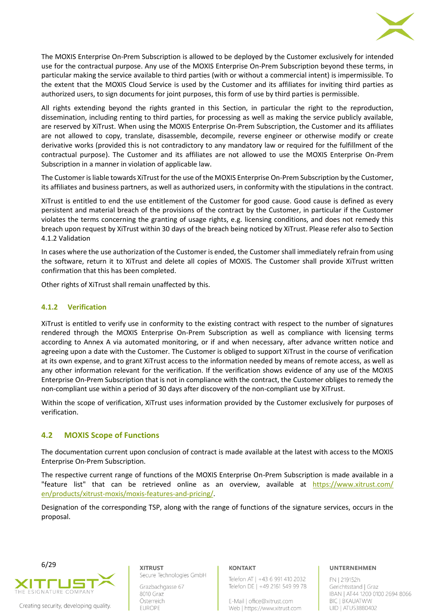

The MOXIS Enterprise On-Prem Subscription is allowed to be deployed by the Customer exclusively for intended use for the contractual purpose. Any use of the MOXIS Enterprise On-Prem Subscription beyond these terms, in particular making the service available to third parties (with or without a commercial intent) is impermissible. To the extent that the MOXIS Cloud Service is used by the Customer and its affiliates for inviting third parties as authorized users, to sign documents for joint purposes, this form of use by third parties is permissible.

All rights extending beyond the rights granted in this Section, in particular the right to the reproduction, dissemination, including renting to third parties, for processing as well as making the service publicly available, are reserved by XiTrust. When using the MOXIS Enterprise On-Prem Subscription, the Customer and its affiliates are not allowed to copy, translate, disassemble, decompile, reverse engineer or otherwise modify or create derivative works (provided this is not contradictory to any mandatory law or required for the fulfillment of the contractual purpose). The Customer and its affiliates are not allowed to use the MOXIS Enterprise On-Prem Subscription in a manner in violation of applicable law.

The Customer is liable towards XiTrust for the use of the MOXIS Enterprise On-Prem Subscription by the Customer, its affiliates and business partners, as well as authorized users, in conformity with the stipulations in the contract.

XiTrust is entitled to end the use entitlement of the Customer for good cause. Good cause is defined as every persistent and material breach of the provisions of the contract by the Customer, in particular if the Customer violates the terms concerning the granting of usage rights, e.g. licensing conditions, and does not remedy this breach upon request by XiTrust within 30 days of the breach being noticed by XiTrust. Please refer also to Section 4.1.2 Validation

In cases where the use authorization of the Customer is ended, the Customer shall immediately refrain from using the software, return it to XiTrust and delete all copies of MOXIS. The Customer shall provide XiTrust written confirmation that this has been completed.

Other rights of XiTrust shall remain unaffected by this.

## <span id="page-5-0"></span>**4.1.2 Verification**

XiTrust is entitled to verify use in conformity to the existing contract with respect to the number of signatures rendered through the MOXIS Enterprise On-Prem Subscription as well as compliance with licensing terms according to Annex A via automated monitoring, or if and when necessary, after advance written notice and agreeing upon a date with the Customer. The Customer is obliged to support XiTrust in the course of verification at its own expense, and to grant XiTrust access to the information needed by means of remote access, as well as any other information relevant for the verification. If the verification shows evidence of any use of the MOXIS Enterprise On-Prem Subscription that is not in compliance with the contract, the Customer obliges to remedy the non-compliant use within a period of 30 days after discovery of the non-compliant use by XiTrust.

Within the scope of verification, XiTrust uses information provided by the Customer exclusively for purposes of verification.

## <span id="page-5-1"></span>**4.2 MOXIS Scope of Functions**

The documentation current upon conclusion of contract is made available at the latest with access to the MOXIS Enterprise On-Prem Subscription.

The respective current range of functions of the MOXIS Enterprise On-Prem Subscription is made available in a "feature list" that can be retrieved online as an overview, available at [https://www.xitrust.com/](https://www.xitrust.com/en/products/xitrust-moxis/moxis-features-and-pricing/)  [en/products/xitrust-moxis/moxis-features-and-pricing/.](https://www.xitrust.com/en/products/xitrust-moxis/moxis-features-and-pricing/)

Designation of the corresponding TSP, along with the range of functions of the signature services, occurs in the proposal.



Creating security, developing quality.

**XITRUST** Secure Technologies GmbH

Grazbachgasse 67 8010 Graz Österreich **EUROPE** 

#### **KONTAKT**

Telefon AT | +43 6 991 410 2032 Telefon DE | +49 2161 549 99 78

E-Mail | office@xitrust.com Web | https://www.xitrust.com

#### **UNTERNEHMEN**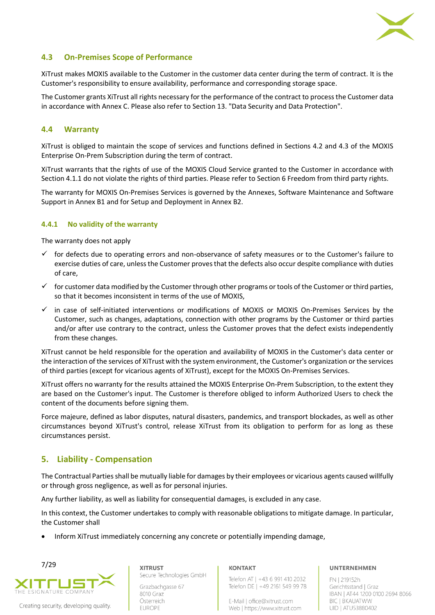

## <span id="page-6-0"></span>**4.3 On-Premises Scope of Performance**

XiTrust makes MOXIS available to the Customer in the customer data center during the term of contract. It is the Customer's responsibility to ensure availability, performance and corresponding storage space.

The Customer grants XiTrust all rights necessary for the performance of the contract to process the Customer data in accordance with Annex C. Please also refer to Section 13. "Data Security and Data Protection".

## <span id="page-6-1"></span>**4.4 Warranty**

XiTrust is obliged to maintain the scope of services and functions defined in Sections 4.2 and 4.3 of the MOXIS Enterprise On-Prem Subscription during the term of contract.

XiTrust warrants that the rights of use of the MOXIS Cloud Service granted to the Customer in accordance with Section 4.1.1 do not violate the rights of third parties. Please refer to Section 6 Freedom from third party rights.

The warranty for MOXIS On-Premises Services is governed by the Annexes, Software Maintenance and Software Support in Annex B1 and for Setup and Deployment in Annex B2.

### <span id="page-6-2"></span>**4.4.1 No validity of the warranty**

The warranty does not apply

- $\checkmark$  for defects due to operating errors and non-observance of safety measures or to the Customer's failure to exercise duties of care, unless the Customer proves that the defects also occur despite compliance with duties of care,
- ✓ for customer data modified by the Customer through other programs or tools of the Customer or third parties, so that it becomes inconsistent in terms of the use of MOXIS,
- ✓ in case of self-initiated interventions or modifications of MOXIS or MOXIS On-Premises Services by the Customer, such as changes, adaptations, connection with other programs by the Customer or third parties and/or after use contrary to the contract, unless the Customer proves that the defect exists independently from these changes.

XiTrust cannot be held responsible for the operation and availability of MOXIS in the Customer's data center or the interaction of the services of XiTrust with the system environment, the Customer's organization or the services of third parties (except for vicarious agents of XiTrust), except for the MOXIS On-Premises Services.

XiTrust offers no warranty for the results attained the MOXIS Enterprise On-Prem Subscription, to the extent they are based on the Customer's input. The Customer is therefore obliged to inform Authorized Users to check the content of the documents before signing them.

Force majeure, defined as labor disputes, natural disasters, pandemics, and transport blockades, as well as other circumstances beyond XiTrust's control, release XiTrust from its obligation to perform for as long as these circumstances persist.

## <span id="page-6-3"></span>**5. Liability - Compensation**

The Contractual Parties shall be mutually liable for damages by their employees or vicarious agents caused willfully or through gross negligence, as well as for personal injuries.

Any further liability, as well as liability for consequential damages, is excluded in any case.

In this context, the Customer undertakes to comply with reasonable obligations to mitigate damage. In particular, the Customer shall

• Inform XiTrust immediately concerning any concrete or potentially impending damage,



**XITRUST** Secure Technologies GmbH

Grazbachgasse 67 8010 Graz Österreich **EUROPE** 

#### **KONTAKT**

Telefon AT | +43 6 991 410 2032 Telefon DE | +49 2161 549 99 78

E-Mail | office@xitrust.com Web | https://www.xitrust.com

#### **UNTERNEHMEN**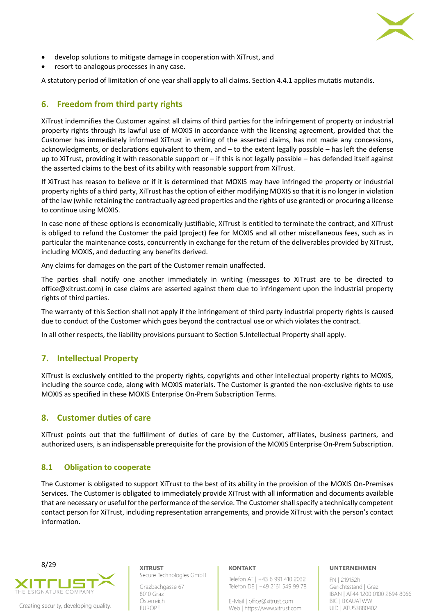

- develop solutions to mitigate damage in cooperation with XiTrust, and
- resort to analogous processes in any case.

A statutory period of limitation of one year shall apply to all claims. Section 4.4.1 applies mutatis mutandis.

## <span id="page-7-0"></span>**6. Freedom from third party rights**

XiTrust indemnifies the Customer against all claims of third parties for the infringement of property or industrial property rights through its lawful use of MOXIS in accordance with the licensing agreement, provided that the Customer has immediately informed XiTrust in writing of the asserted claims, has not made any concessions, acknowledgments, or declarations equivalent to them, and – to the extent legally possible – has left the defense up to XiTrust, providing it with reasonable support or  $-$  if this is not legally possible  $-$  has defended itself against the asserted claims to the best of its ability with reasonable support from XiTrust.

If XiTrust has reason to believe or if it is determined that MOXIS may have infringed the property or industrial property rights of a third party, XiTrust has the option of either modifying MOXIS so that it is no longer in violation of the law (while retaining the contractually agreed properties and the rights of use granted) or procuring a license to continue using MOXIS.

In case none of these options is economically justifiable, XiTrust is entitled to terminate the contract, and XiTrust is obliged to refund the Customer the paid (project) fee for MOXIS and all other miscellaneous fees, such as in particular the maintenance costs, concurrently in exchange for the return of the deliverables provided by XiTrust, including MOXIS, and deducting any benefits derived.

Any claims for damages on the part of the Customer remain unaffected.

The parties shall notify one another immediately in writing (messages to XiTrust are to be directed to office@xitrust.com) in case claims are asserted against them due to infringement upon the industrial property rights of third parties.

The warranty of this Section shall not apply if the infringement of third party industrial property rights is caused due to conduct of the Customer which goes beyond the contractual use or which violates the contract.

In all other respects, the liability provisions pursuant to Section 5.Intellectual Property shall apply.

## <span id="page-7-1"></span>**7. Intellectual Property**

XiTrust is exclusively entitled to the property rights, copyrights and other intellectual property rights to MOXIS, including the source code, along with MOXIS materials. The Customer is granted the non-exclusive rights to use MOXIS as specified in these MOXIS Enterprise On-Prem Subscription Terms.

## <span id="page-7-2"></span>**8. Customer duties of care**

XiTrust points out that the fulfillment of duties of care by the Customer, affiliates, business partners, and authorized users, is an indispensable prerequisite for the provision of the MOXIS Enterprise On-Prem Subscription.

## <span id="page-7-3"></span>**8.1 Obligation to cooperate**

The Customer is obligated to support XiTrust to the best of its ability in the provision of the MOXIS On-Premises Services. The Customer is obligated to immediately provide XiTrust with all information and documents available that are necessary or useful for the performance of the service. The Customer shall specify a technically competent contact person for XiTrust, including representation arrangements, and provide XiTrust with the person's contact information.



**XITRUST** Secure Technologies GmbH

Grazbachgasse 67 8010 Graz Österreich **EUROPE** 

#### **KONTAKT**

Telefon AT | +43 6 991 410 2032 Telefon DE | +49 2161 549 99 78

E-Mail | office@xitrust.com Web | https://www.xitrust.com

#### **UNTERNEHMEN**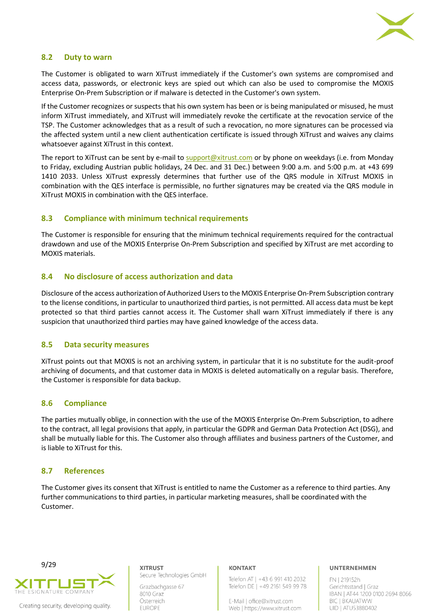

### <span id="page-8-0"></span>**8.2 Duty to warn**

The Customer is obligated to warn XiTrust immediately if the Customer's own systems are compromised and access data, passwords, or electronic keys are spied out which can also be used to compromise the MOXIS Enterprise On-Prem Subscription or if malware is detected in the Customer's own system.

If the Customer recognizes or suspects that his own system has been or is being manipulated or misused, he must inform XiTrust immediately, and XiTrust will immediately revoke the certificate at the revocation service of the TSP. The Customer acknowledges that as a result of such a revocation, no more signatures can be processed via the affected system until a new client authentication certificate is issued through XiTrust and waives any claims whatsoever against XiTrust in this context.

The report to XiTrust can be sent by e-mail to support@xitrust.com or by phone on weekdays (i.e. from Monday to Friday, excluding Austrian public holidays, 24 Dec. and 31 Dec.) between 9:00 a.m. and 5:00 p.m. at +43 699 1410 2033. Unless XiTrust expressly determines that further use of the QRS module in XiTrust MOXIS in combination with the QES interface is permissible, no further signatures may be created via the QRS module in XiTrust MOXIS in combination with the QES interface.

## <span id="page-8-1"></span>**8.3 Compliance with minimum technical requirements**

The Customer is responsible for ensuring that the minimum technical requirements required for the contractual drawdown and use of the MOXIS Enterprise On-Prem Subscription and specified by XiTrust are met according to MOXIS materials.

### <span id="page-8-2"></span>**8.4 No disclosure of access authorization and data**

Disclosure of the access authorization of Authorized Users to the MOXIS Enterprise On-Prem Subscription contrary to the license conditions, in particular to unauthorized third parties, is not permitted. All access data must be kept protected so that third parties cannot access it. The Customer shall warn XiTrust immediately if there is any suspicion that unauthorized third parties may have gained knowledge of the access data.

### <span id="page-8-3"></span>**8.5 Data security measures**

XiTrust points out that MOXIS is not an archiving system, in particular that it is no substitute for the audit-proof archiving of documents, and that customer data in MOXIS is deleted automatically on a regular basis. Therefore, the Customer is responsible for data backup.

### <span id="page-8-4"></span>**8.6 Compliance**

The parties mutually oblige, in connection with the use of the MOXIS Enterprise On-Prem Subscription, to adhere to the contract, all legal provisions that apply, in particular the GDPR and German Data Protection Act (DSG), and shall be mutually liable for this. The Customer also through affiliates and business partners of the Customer, and is liable to XiTrust for this.

### <span id="page-8-5"></span>**8.7 References**

The Customer gives its consent that XiTrust is entitled to name the Customer as a reference to third parties. Any further communications to third parties, in particular marketing measures, shall be coordinated with the Customer.



**XITRUST** Secure Technologies GmbH

Grazbachgasse 67 8010 Graz Österreich **FUROPE** 

#### **KONTAKT**

Telefon AT | +43 6 991 410 2032 Telefon DE | +49 2161 549 99 78

E-Mail | office@xitrust.com Web | https://www.xitrust.com

#### **UNTERNEHMEN**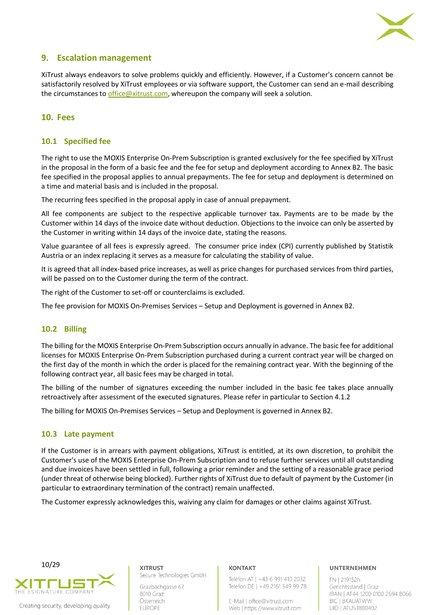

## <span id="page-9-0"></span>**9. Escalation management**

XiTrust always endeavors to solve problems quickly and efficiently. However, if a Customer's concern cannot be satisfactorily resolved by XiTrust employees or via software support, the Customer can send an e-mail describing the circumstances to office@xitrust.com, whereupon the company will seek a solution.

## <span id="page-9-1"></span>**10. Fees**

## <span id="page-9-2"></span>**10.1 Specified fee**

The right to use the MOXIS Enterprise On-Prem Subscription is granted exclusively for the fee specified by XiTrust in the proposal in the form of a basic fee and the fee for setup and deployment according to Annex B2. The basic fee specified in the proposal applies to annual prepayments. The fee for setup and deployment is determined on a time and material basis and is included in the proposal.

The recurring fees specified in the proposal apply in case of annual prepayment.

All fee components are subject to the respective applicable turnover tax. Payments are to be made by the Customer within 14 days of the invoice date without deduction. Objections to the invoice can only be asserted by the Customer in writing within 14 days of the invoice date, stating the reasons.

Value guarantee of all fees is expressly agreed. The consumer price index (CPI) currently published by Statistik Austria or an index replacing it serves as a measure for calculating the stability of value.

It is agreed that all index-based price increases, as well as price changes for purchased services from third parties, will be passed on to the Customer during the term of the contract.

The right of the Customer to set-off or counterclaims is excluded.

The fee provision for MOXIS On-Premises Services – Setup and Deployment is governed in Annex B2.

## <span id="page-9-3"></span>**10.2 Billing**

The billing for the MOXIS Enterprise On-Prem Subscription occurs annually in advance. The basic fee for additional licenses for MOXIS Enterprise On-Prem Subscription purchased during a current contract year will be charged on the first day of the month in which the order is placed for the remaining contract year. With the beginning of the following contract year, all basic fees may be charged in total.

The billing of the number of signatures exceeding the number included in the basic fee takes place annually retroactively after assessment of the executed signatures. Please refer in particular to Section 4.1.2

The billing for MOXIS On-Premises Services – Setup and Deployment is governed in Annex B2.

## <span id="page-9-4"></span>**10.3 Late payment**

If the Customer is in arrears with payment obligations, XiTrust is entitled, at its own discretion, to prohibit the Customer's use of the MOXIS Enterprise On-Prem Subscription and to refuse further services until all outstanding and due invoices have been settled in full, following a prior reminder and the setting of a reasonable grace period (under threat of otherwise being blocked). Further rights of XiTrust due to default of payment by the Customer (in particular to extraordinary termination of the contract) remain unaffected.

The Customer expressly acknowledges this, waiving any claim for damages or other claims against XiTrust.



**XITRUST** Secure Technologies GmbH

Grazbachgasse 67 8010 Graz Österreich **EUROPE** 

#### **KONTAKT**

Telefon AT | +43 6 991 410 2032 Telefon DE | +49 2161 549 99 78

E-Mail | office@xitrust.com Web | https://www.xitrust.com

#### **UNTERNEHMEN**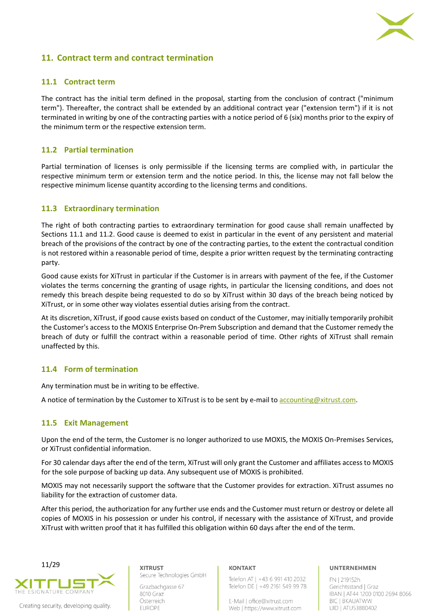

## <span id="page-10-0"></span>**11. Contract term and contract termination**

## <span id="page-10-1"></span>**11.1 Contract term**

The contract has the initial term defined in the proposal, starting from the conclusion of contract ("minimum term"). Thereafter, the contract shall be extended by an additional contract year ("extension term") if it is not terminated in writing by one of the contracting parties with a notice period of 6 (six) months prior to the expiry of the minimum term or the respective extension term.

## <span id="page-10-2"></span>**11.2 Partial termination**

Partial termination of licenses is only permissible if the licensing terms are complied with, in particular the respective minimum term or extension term and the notice period. In this, the license may not fall below the respective minimum license quantity according to the licensing terms and conditions.

## <span id="page-10-3"></span>**11.3 Extraordinary termination**

The right of both contracting parties to extraordinary termination for good cause shall remain unaffected by Sections 11.1 and 11.2. Good cause is deemed to exist in particular in the event of any persistent and material breach of the provisions of the contract by one of the contracting parties, to the extent the contractual condition is not restored within a reasonable period of time, despite a prior written request by the terminating contracting party.

Good cause exists for XiTrust in particular if the Customer is in arrears with payment of the fee, if the Customer violates the terms concerning the granting of usage rights, in particular the licensing conditions, and does not remedy this breach despite being requested to do so by XiTrust within 30 days of the breach being noticed by XiTrust, or in some other way violates essential duties arising from the contract.

At its discretion, XiTrust, if good cause exists based on conduct of the Customer, may initially temporarily prohibit the Customer's access to the MOXIS Enterprise On-Prem Subscription and demand that the Customer remedy the breach of duty or fulfill the contract within a reasonable period of time. Other rights of XiTrust shall remain unaffected by this.

## <span id="page-10-4"></span>**11.4 Form of termination**

Any termination must be in writing to be effective.

A notice of termination by the Customer to XiTrust is to be sent by e-mail to accounting@xitrust.com.

### <span id="page-10-5"></span>**11.5 Exit Management**

Upon the end of the term, the Customer is no longer authorized to use MOXIS, the MOXIS On-Premises Services, or XiTrust confidential information.

For 30 calendar days after the end of the term, XiTrust will only grant the Customer and affiliates access to MOXIS for the sole purpose of backing up data. Any subsequent use of MOXIS is prohibited.

MOXIS may not necessarily support the software that the Customer provides for extraction. XiTrust assumes no liability for the extraction of customer data.

After this period, the authorization for any further use ends and the Customer must return or destroy or delete all copies of MOXIS in his possession or under his control, if necessary with the assistance of XiTrust, and provide XiTrust with written proof that it has fulfilled this obligation within 60 days after the end of the term.



**XITRUST** Secure Technologies GmbH

Grazbachgasse 67 8010 Graz Österreich **FUROPE** 

**KONTAKT** 

Telefon AT | +43 6 991 410 2032 Telefon DE | +49 2161 549 99 78

E-Mail | office@xitrust.com Web | https://www.xitrust.com

#### **UNTERNEHMEN**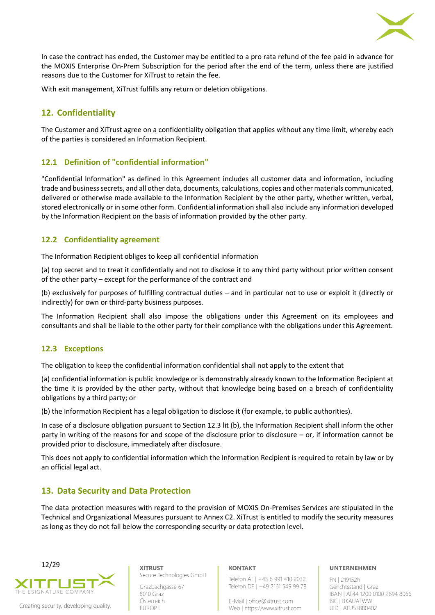

In case the contract has ended, the Customer may be entitled to a pro rata refund of the fee paid in advance for the MOXIS Enterprise On-Prem Subscription for the period after the end of the term, unless there are justified reasons due to the Customer for XiTrust to retain the fee.

With exit management, XiTrust fulfills any return or deletion obligations.

## <span id="page-11-0"></span>**12. Confidentiality**

The Customer and XiTrust agree on a confidentiality obligation that applies without any time limit, whereby each of the parties is considered an Information Recipient.

## <span id="page-11-1"></span>**12.1 Definition of "confidential information"**

"Confidential Information" as defined in this Agreement includes all customer data and information, including trade and business secrets, and all other data, documents, calculations, copies and other materials communicated, delivered or otherwise made available to the Information Recipient by the other party, whether written, verbal, stored electronically or in some other form. Confidential information shall also include any information developed by the Information Recipient on the basis of information provided by the other party.

## <span id="page-11-2"></span>**12.2 Confidentiality agreement**

The Information Recipient obliges to keep all confidential information

(a) top secret and to treat it confidentially and not to disclose it to any third party without prior written consent of the other party – except for the performance of the contract and

(b) exclusively for purposes of fulfilling contractual duties – and in particular not to use or exploit it (directly or indirectly) for own or third-party business purposes.

The Information Recipient shall also impose the obligations under this Agreement on its employees and consultants and shall be liable to the other party for their compliance with the obligations under this Agreement.

## <span id="page-11-3"></span>**12.3 Exceptions**

The obligation to keep the confidential information confidential shall not apply to the extent that

(a) confidential information is public knowledge or is demonstrably already known to the Information Recipient at the time it is provided by the other party, without that knowledge being based on a breach of confidentiality obligations by a third party; or

(b) the Information Recipient has a legal obligation to disclose it (for example, to public authorities).

In case of a disclosure obligation pursuant to Section 12.3 lit (b), the Information Recipient shall inform the other party in writing of the reasons for and scope of the disclosure prior to disclosure – or, if information cannot be provided prior to disclosure, immediately after disclosure.

This does not apply to confidential information which the Information Recipient is required to retain by law or by an official legal act.

## <span id="page-11-4"></span>**13. Data Security and Data Protection**

The data protection measures with regard to the provision of MOXIS On-Premises Services are stipulated in the Technical and Organizational Measures pursuant to Annex C2. XiTrust is entitled to modify the security measures as long as they do not fall below the corresponding security or data protection level.



**XITRUST** Secure Technologies GmbH

Grazbachgasse 67 8010 Graz Österreich **EUROPE** 

#### **KONTAKT**

Telefon AT | +43 6 991 410 2032 Telefon DE | +49 2161 549 99 78

E-Mail | office@xitrust.com Web | https://www.xitrust.com

#### **UNTERNEHMEN**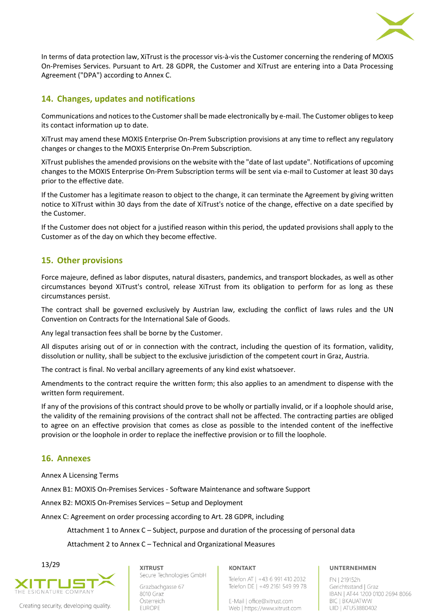

In terms of data protection law, XiTrust is the processor vis-à-vis the Customer concerning the rendering of MOXIS On-Premises Services. Pursuant to Art. 28 GDPR, the Customer and XiTrust are entering into a Data Processing Agreement ("DPA") according to Annex C.

## <span id="page-12-0"></span>**14. Changes, updates and notifications**

Communications and notices to the Customer shall be made electronically by e-mail. The Customer obliges to keep its contact information up to date.

XiTrust may amend these MOXIS Enterprise On-Prem Subscription provisions at any time to reflect any regulatory changes or changes to the MOXIS Enterprise On-Prem Subscription.

XiTrust publishes the amended provisions on the website with the "date of last update". Notifications of upcoming changes to the MOXIS Enterprise On-Prem Subscription terms will be sent via e-mail to Customer at least 30 days prior to the effective date.

If the Customer has a legitimate reason to object to the change, it can terminate the Agreement by giving written notice to XiTrust within 30 days from the date of XiTrust's notice of the change, effective on a date specified by the Customer.

If the Customer does not object for a justified reason within this period, the updated provisions shall apply to the Customer as of the day on which they become effective.

## <span id="page-12-1"></span>**15. Other provisions**

Force majeure, defined as labor disputes, natural disasters, pandemics, and transport blockades, as well as other circumstances beyond XiTrust's control, release XiTrust from its obligation to perform for as long as these circumstances persist.

The contract shall be governed exclusively by Austrian law, excluding the conflict of laws rules and the UN Convention on Contracts for the International Sale of Goods.

Any legal transaction fees shall be borne by the Customer.

All disputes arising out of or in connection with the contract, including the question of its formation, validity, dissolution or nullity, shall be subject to the exclusive jurisdiction of the competent court in Graz, Austria.

The contract is final. No verbal ancillary agreements of any kind exist whatsoever.

Amendments to the contract require the written form; this also applies to an amendment to dispense with the written form requirement.

If any of the provisions of this contract should prove to be wholly or partially invalid, or if a loophole should arise, the validity of the remaining provisions of the contract shall not be affected. The contracting parties are obliged to agree on an effective provision that comes as close as possible to the intended content of the ineffective provision or the loophole in order to replace the ineffective provision or to fill the loophole.

## <span id="page-12-2"></span>**16. Annexes**

Annex A Licensing Terms

Annex B1: MOXIS On-Premises Services - Software Maintenance and software Support

Annex B2: MOXIS On-Premises Services – Setup and Deployment

Annex C: Agreement on order processing according to Art. 28 GDPR, including

Attachment 1 to Annex C – Subject, purpose and duration of the processing of personal data

Attachment 2 to Annex C – Technical and Organizational Measures

13/29



Creating security, developing quality.

**XITRUST** Secure Technologies GmbH

Grazbachgasse 67 8010 Graz Österreich

EUROPE

#### **KONTAKT**

Telefon AT | +43 6 991 410 2032 Telefon DE | +49 2161 549 99 78

E-Mail | office@xitrust.com Web | https://www.xitrust.com

#### **UNTERNEHMEN**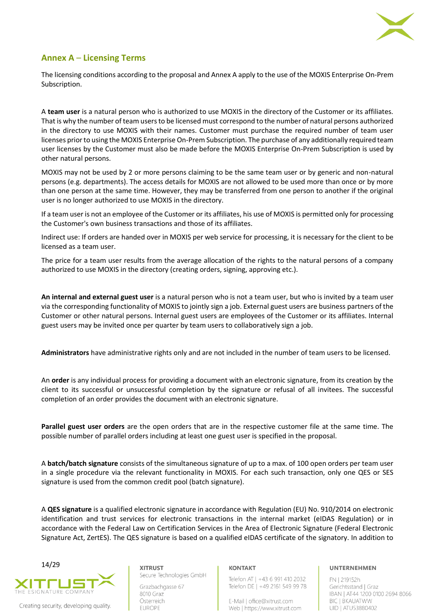

## <span id="page-13-0"></span>**Annex A** – **Licensing Terms**

The licensing conditions according to the proposal and Annex A apply to the use of the MOXIS Enterprise On-Prem Subscription.

A **team user** is a natural person who is authorized to use MOXIS in the directory of the Customer or its affiliates. That is why the number of team users to be licensed must correspond to the number of natural persons authorized in the directory to use MOXIS with their names. Customer must purchase the required number of team user licenses prior to using the MOXIS Enterprise On-Prem Subscription. The purchase of any additionally required team user licenses by the Customer must also be made before the MOXIS Enterprise On-Prem Subscription is used by other natural persons.

MOXIS may not be used by 2 or more persons claiming to be the same team user or by generic and non-natural persons (e.g. departments). The access details for MOXIS are not allowed to be used more than once or by more than one person at the same time. However, they may be transferred from one person to another if the original user is no longer authorized to use MOXIS in the directory.

If a team user is not an employee of the Customer or its affiliates, his use of MOXIS is permitted only for processing the Customer's own business transactions and those of its affiliates.

Indirect use: If orders are handed over in MOXIS per web service for processing, it is necessary for the client to be licensed as a team user.

The price for a team user results from the average allocation of the rights to the natural persons of a company authorized to use MOXIS in the directory (creating orders, signing, approving etc.).

**An internal and external guest user** is a natural person who is not a team user, but who is invited by a team user via the corresponding functionality of MOXIS to jointly sign a job. External guest users are business partners of the Customer or other natural persons. Internal guest users are employees of the Customer or its affiliates. Internal guest users may be invited once per quarter by team users to collaboratively sign a job.

**Administrators** have administrative rights only and are not included in the number of team users to be licensed.

An **order** is any individual process for providing a document with an electronic signature, from its creation by the client to its successful or unsuccessful completion by the signature or refusal of all invitees. The successful completion of an order provides the document with an electronic signature.

**Parallel guest user orders** are the open orders that are in the respective customer file at the same time. The possible number of parallel orders including at least one guest user is specified in the proposal.

A **batch/batch signature** consists of the simultaneous signature of up to a max. of 100 open orders per team user in a single procedure via the relevant functionality in MOXIS. For each such transaction, only one QES or SES signature is used from the common credit pool (batch signature).

A **QES signature** is a qualified electronic signature in accordance with Regulation (EU) No. 910/2014 on electronic identification and trust services for electronic transactions in the internal market (eIDAS Regulation) or in accordance with the Federal Law on Certification Services in the Area of Electronic Signature (Federal Electronic Signature Act, ZertES). The QES signature is based on a qualified eIDAS certificate of the signatory. In addition to



**XITRUST** Secure Technologies GmbH

Grazbachgasse 67 8010 Graz Österreich **FUROPE** 

#### **KONTAKT**

Telefon AT | +43 6 991 410 2032 Telefon DE | +49 2161 549 99 78

E-Mail | office@xitrust.com Web | https://www.xitrust.com

### **UNTERNEHMEN**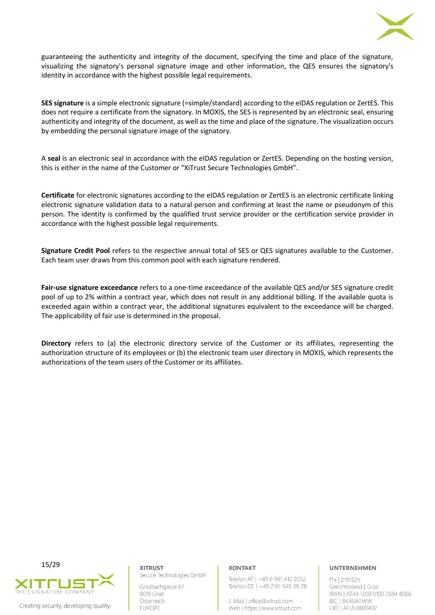

guaranteeing the authenticity and integrity of the document, specifying the time and place of the signature, visualizing the signatory's personal signature image and other information, the QES ensures the signatory's identity in accordance with the highest possible legal requirements.

**SES signature** is a simple electronic signature (=simple/standard) according to the eIDAS regulation or ZertES. This does not require a certificate from the signatory. In MOXIS, the SES is represented by an electronic seal, ensuring authenticity and integrity of the document, as well as the time and place of the signature. The visualization occurs by embedding the personal signature image of the signatory.

A **seal** is an electronic seal in accordance with the eIDAS regulation or ZertES. Depending on the hosting version, this is either in the name of the Customer or "XiTrust Secure Technologies GmbH".

**Certificate** for electronic signatures according to the eIDAS regulation or ZertES is an electronic certificate linking electronic signature validation data to a natural person and confirming at least the name or pseudonym of this person. The identity is confirmed by the qualified trust service provider or the certification service provider in accordance with the highest possible legal requirements.

**Signature Credit Pool** refers to the respective annual total of SES or QES signatures available to the Customer. Each team user draws from this common pool with each signature rendered.

**Fair-use signature exceedance** refers to a one-time exceedance of the available QES and/or SES signature credit pool of up to 2% within a contract year, which does not result in any additional billing. If the available quota is exceeded again within a contract year, the additional signatures equivalent to the exceedance will be charged. The applicability of fair use is determined in the proposal.

**Directory** refers to (a) the electronic directory service of the Customer or its affiliates, representing the authorization structure of its employees or (b) the electronic team user directory in MOXIS, which represents the authorizations of the team users of the Customer or its affiliates.



Creating security, developing quality.

**XITRUST** Secure Technologies GmbH

Grazbachgasse 67 8010 Graz Österreich **EUROPE** 

#### **KONTAKT**

Telefon AT | +43 6 991 410 2032 Telefon DE | +49 2161 549 99 78

E-Mail | office@xitrust.com Web | https://www.xitrust.com

#### **UNTERNEHMEN**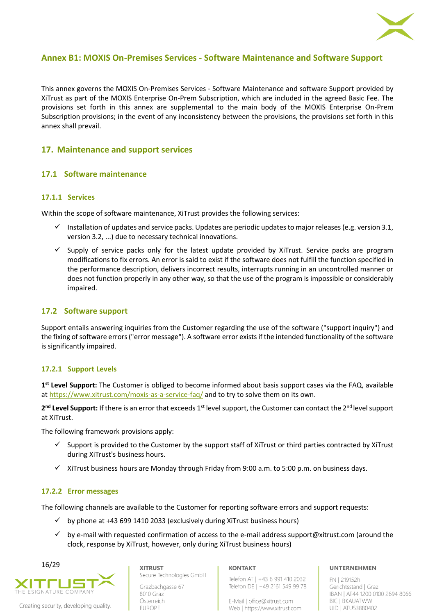

## <span id="page-15-0"></span>**Annex B1: MOXIS On-Premises Services - Software Maintenance and Software Support**

This annex governs the MOXIS On-Premises Services - Software Maintenance and software Support provided by XiTrust as part of the MOXIS Enterprise On-Prem Subscription, which are included in the agreed Basic Fee. The provisions set forth in this annex are supplemental to the main body of the MOXIS Enterprise On-Prem Subscription provisions; in the event of any inconsistency between the provisions, the provisions set forth in this annex shall prevail.

## <span id="page-15-1"></span>**17. Maintenance and support services**

## <span id="page-15-2"></span>**17.1 Software maintenance**

### <span id="page-15-3"></span>**17.1.1 Services**

Within the scope of software maintenance, XiTrust provides the following services:

- $\checkmark$  Installation of updates and service packs. Updates are periodic updates to major releases (e.g. version 3.1, version 3.2, ...) due to necessary technical innovations.
- ✓ Supply of service packs only for the latest update provided by XiTrust. Service packs are program modifications to fix errors. An error is said to exist if the software does not fulfill the function specified in the performance description, delivers incorrect results, interrupts running in an uncontrolled manner or does not function properly in any other way, so that the use of the program is impossible or considerably impaired.

## <span id="page-15-4"></span>**17.2 Software support**

Support entails answering inquiries from the Customer regarding the use of the software ("support inquiry") and the fixing of software errors ("error message"). A software error exists if the intended functionality of the software is significantly impaired.

### <span id="page-15-5"></span>**17.2.1 Support Levels**

**1 st Level Support:** The Customer is obliged to become informed about basis support cases via the FAQ, available a[t https://www.xitrust.com/moxis-as-a-service-faq/](https://www.xitrust.com/moxis-as-a-service-faq/) and to try to solve them on its own.

2<sup>nd</sup> Level Support: If there is an error that exceeds 1<sup>st</sup> level support, the Customer can contact the 2<sup>nd</sup> level support at XiTrust.

The following framework provisions apply:

- ✓ Support is provided to the Customer by the support staff of XiTrust or third parties contracted by XiTrust during XiTrust's business hours.
- $\checkmark$  XiTrust business hours are Monday through Friday from 9:00 a.m. to 5:00 p.m. on business days.

### <span id="page-15-6"></span>**17.2.2 Error messages**

The following channels are available to the Customer for reporting software errors and support requests:

- $\checkmark$  by phone at +43 699 1410 2033 (exclusively during XiTrust business hours)
- $\checkmark$  by e-mail with requested confirmation of access to the e-mail address support@xitrust.com (around the clock, response by XiTrust, however, only during XiTrust business hours)

16/29



#### **XITRUST** Secure Technologies GmbH

Grazbachgasse 67 8010 Graz Österreich

**EUROPE** 

#### **KONTAKT**

Telefon AT | +43 6 991 410 2032 Telefon DE | +49 2161 549 99 78

E-Mail | office@xitrust.com Web | https://www.xitrust.com

#### **UNTERNEHMEN**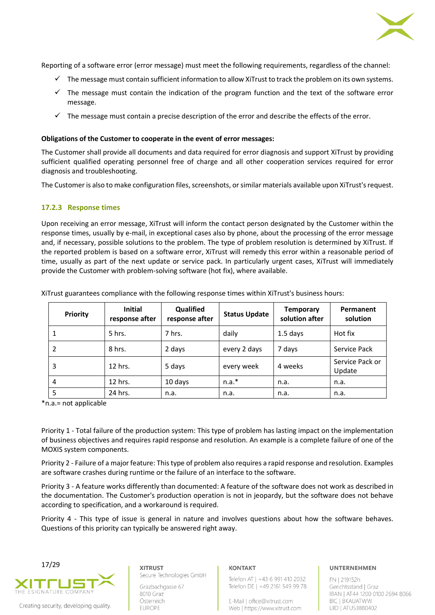

Reporting of a software error (error message) must meet the following requirements, regardless of the channel:

- $\checkmark$  The message must contain sufficient information to allow XiTrust to track the problem on its own systems.
- $\checkmark$  The message must contain the indication of the program function and the text of the software error message.
- $\checkmark$  The message must contain a precise description of the error and describe the effects of the error.

#### **Obligations of the Customer to cooperate in the event of error messages:**

The Customer shall provide all documents and data required for error diagnosis and support XiTrust by providing sufficient qualified operating personnel free of charge and all other cooperation services required for error diagnosis and troubleshooting.

The Customer is also to make configuration files, screenshots, or similar materials available upon XiTrust's request.

### <span id="page-16-0"></span>**17.2.3 Response times**

Upon receiving an error message, XiTrust will inform the contact person designated by the Customer within the response times, usually by e-mail, in exceptional cases also by phone, about the processing of the error message and, if necessary, possible solutions to the problem. The type of problem resolution is determined by XiTrust. If the reported problem is based on a software error, XiTrust will remedy this error within a reasonable period of time, usually as part of the next update or service pack. In particularly urgent cases, XiTrust will immediately provide the Customer with problem-solving software (hot fix), where available.

| Priority | <b>Initial</b><br>response after | Qualified<br>response after | <b>Status Update</b> | <b>Temporary</b><br>solution after | Permanent<br>solution     |
|----------|----------------------------------|-----------------------------|----------------------|------------------------------------|---------------------------|
|          | 5 hrs.                           | 7 hrs.                      | daily                | $1.5$ days                         | Hot fix                   |
|          | 8 hrs.                           | 2 days                      | every 2 days         | 7 days                             | Service Pack              |
| 3        | 12 hrs.                          | 5 days                      | every week           | 4 weeks                            | Service Pack or<br>Update |
| 4        | 12 hrs.                          | 10 days                     | $n.a.*$              | n.a.                               | n.a.                      |
| 5        | 24 hrs.                          | n.a.                        | n.a.                 | n.a.                               | n.a.                      |

XiTrust guarantees compliance with the following response times within XiTrust's business hours:

\*n.a.= not applicable

Priority 1 - Total failure of the production system: This type of problem has lasting impact on the implementation of business objectives and requires rapid response and resolution. An example is a complete failure of one of the MOXIS system components.

Priority 2 - Failure of a major feature: This type of problem also requires a rapid response and resolution. Examples are software crashes during runtime or the failure of an interface to the software.

Priority 3 - A feature works differently than documented: A feature of the software does not work as described in the documentation. The Customer's production operation is not in jeopardy, but the software does not behave according to specification, and a workaround is required.

Priority 4 - This type of issue is general in nature and involves questions about how the software behaves. Questions of this priority can typically be answered right away.



**XITRUST** Secure Technologies GmbH

Grazbachgasse 67 8010 Graz Österreich EUROPE

#### **KONTAKT**

Telefon AT | +43 6 991 410 2032 Telefon DE | +49 2161 549 99 78

E-Mail | office@xitrust.com Web | https://www.xitrust.com

#### **UNTERNEHMEN**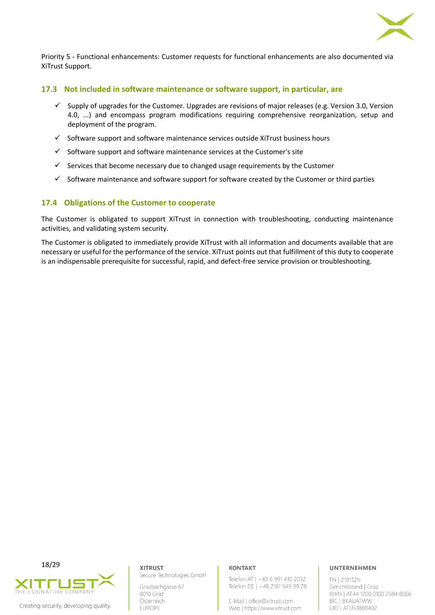

Priority 5 - Functional enhancements: Customer requests for functional enhancements are also documented via XiTrust Support.

## <span id="page-17-0"></span>**17.3 Not included in software maintenance or software support, in particular, are**

- $\checkmark$  Supply of upgrades for the Customer. Upgrades are revisions of major releases (e.g. Version 3.0, Version 4.0, ...) and encompass program modifications requiring comprehensive reorganization, setup and deployment of the program.
- $\checkmark$  Software support and software maintenance services outside XiTrust business hours
- $\checkmark$  Software support and software maintenance services at the Customer's site
- $\checkmark$  Services that become necessary due to changed usage requirements by the Customer
- $\checkmark$  Software maintenance and software support for software created by the Customer or third parties

## <span id="page-17-1"></span>**17.4 Obligations of the Customer to cooperate**

The Customer is obligated to support XiTrust in connection with troubleshooting, conducting maintenance activities, and validating system security.

The Customer is obligated to immediately provide XiTrust with all information and documents available that are necessary or useful for the performance of the service. XiTrust points out that fulfillment of this duty to cooperate is an indispensable prerequisite for successful, rapid, and defect-free service provision or troubleshooting.



**XITRUST** Secure Technologies GmbH

Grazbachgasse 67 8010 Graz Österreich EUROPE

#### **KONTAKT**

Telefon AT | +43 6 991 410 2032 Telefon DE | +49 2161 549 99 78

E-Mail | office@xitrust.com Web | https://www.xitrust.com

#### **UNTERNEHMEN**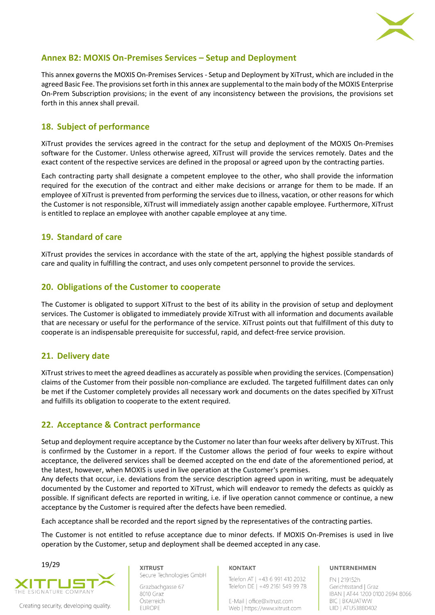

## <span id="page-18-0"></span>**Annex B2: MOXIS On-Premises Services – Setup and Deployment**

This annex governs the MOXIS On-Premises Services - Setup and Deployment by XiTrust, which are included in the agreed Basic Fee. The provisions set forth in this annex are supplemental to the main body of the MOXIS Enterprise On-Prem Subscription provisions; in the event of any inconsistency between the provisions, the provisions set forth in this annex shall prevail.

## <span id="page-18-1"></span>**18. Subject of performance**

XiTrust provides the services agreed in the contract for the setup and deployment of the MOXIS On-Premises software for the Customer. Unless otherwise agreed, XiTrust will provide the services remotely. Dates and the exact content of the respective services are defined in the proposal or agreed upon by the contracting parties.

Each contracting party shall designate a competent employee to the other, who shall provide the information required for the execution of the contract and either make decisions or arrange for them to be made. If an employee of XiTrust is prevented from performing the services due to illness, vacation, or other reasons for which the Customer is not responsible, XiTrust will immediately assign another capable employee. Furthermore, XiTrust is entitled to replace an employee with another capable employee at any time.

## <span id="page-18-2"></span>**19. Standard of care**

XiTrust provides the services in accordance with the state of the art, applying the highest possible standards of care and quality in fulfilling the contract, and uses only competent personnel to provide the services.

## <span id="page-18-3"></span>**20. Obligations of the Customer to cooperate**

The Customer is obligated to support XiTrust to the best of its ability in the provision of setup and deployment services. The Customer is obligated to immediately provide XiTrust with all information and documents available that are necessary or useful for the performance of the service. XiTrust points out that fulfillment of this duty to cooperate is an indispensable prerequisite for successful, rapid, and defect-free service provision.

## <span id="page-18-4"></span>**21. Delivery date**

XiTrust strives to meet the agreed deadlines as accurately as possible when providing the services. (Compensation) claims of the Customer from their possible non-compliance are excluded. The targeted fulfillment dates can only be met if the Customer completely provides all necessary work and documents on the dates specified by XiTrust and fulfills its obligation to cooperate to the extent required.

## <span id="page-18-5"></span>**22. Acceptance & Contract performance**

Setup and deployment require acceptance by the Customer no later than four weeks after delivery by XiTrust. This is confirmed by the Customer in a report. If the Customer allows the period of four weeks to expire without acceptance, the delivered services shall be deemed accepted on the end date of the aforementioned period, at the latest, however, when MOXIS is used in live operation at the Customer's premises.

Any defects that occur, i.e. deviations from the service description agreed upon in writing, must be adequately documented by the Customer and reported to XiTrust, which will endeavor to remedy the defects as quickly as possible. If significant defects are reported in writing, i.e. if live operation cannot commence or continue, a new acceptance by the Customer is required after the defects have been remedied.

Each acceptance shall be recorded and the report signed by the representatives of the contracting parties.

The Customer is not entitled to refuse acceptance due to minor defects. If MOXIS On-Premises is used in live operation by the Customer, setup and deployment shall be deemed accepted in any case.

19/29



Creating security, developing quality.

**XITRUST** Secure Technologies GmbH

Grazbachgasse 67 8010 Graz Österreich

**FUROPE** 

#### **KONTAKT**

Telefon AT | +43 6 991 410 2032 Telefon DE | +49 2161 549 99 78

E-Mail | office@xitrust.com Web | https://www.xitrust.com

#### **UNTERNEHMEN**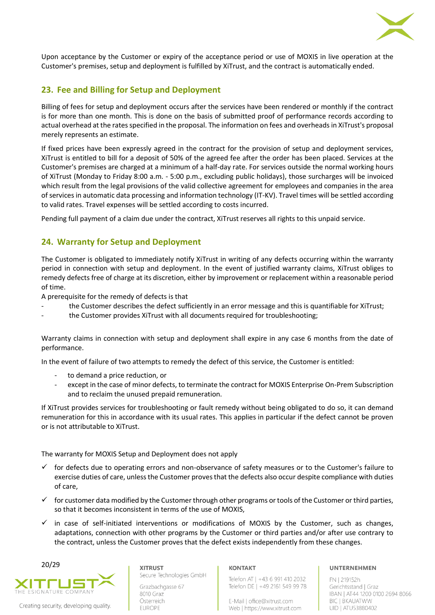

Upon acceptance by the Customer or expiry of the acceptance period or use of MOXIS in live operation at the Customer's premises, setup and deployment is fulfilled by XiTrust, and the contract is automatically ended.

# <span id="page-19-0"></span>**23. Fee and Billing for Setup and Deployment**

Billing of fees for setup and deployment occurs after the services have been rendered or monthly if the contract is for more than one month. This is done on the basis of submitted proof of performance records according to actual overhead at the rates specified in the proposal. The information on fees and overheads in XiTrust's proposal merely represents an estimate.

If fixed prices have been expressly agreed in the contract for the provision of setup and deployment services, XiTrust is entitled to bill for a deposit of 50% of the agreed fee after the order has been placed. Services at the Customer's premises are charged at a minimum of a half-day rate. For services outside the normal working hours of XiTrust (Monday to Friday 8:00 a.m. - 5:00 p.m., excluding public holidays), those surcharges will be invoiced which result from the legal provisions of the valid collective agreement for employees and companies in the area of services in automatic data processing and information technology (IT-KV). Travel times will be settled according to valid rates. Travel expenses will be settled according to costs incurred.

Pending full payment of a claim due under the contract, XiTrust reserves all rights to this unpaid service.

## <span id="page-19-1"></span>**24. Warranty for Setup and Deployment**

The Customer is obligated to immediately notify XiTrust in writing of any defects occurring within the warranty period in connection with setup and deployment. In the event of justified warranty claims, XiTrust obliges to remedy defects free of charge at its discretion, either by improvement or replacement within a reasonable period of time.

A prerequisite for the remedy of defects is that

- the Customer describes the defect sufficiently in an error message and this is quantifiable for XiTrust;
- the Customer provides XiTrust with all documents required for troubleshooting;

Warranty claims in connection with setup and deployment shall expire in any case 6 months from the date of performance.

In the event of failure of two attempts to remedy the defect of this service, the Customer is entitled:

- to demand a price reduction, or
- except in the case of minor defects, to terminate the contract for MOXIS Enterprise On-Prem Subscription and to reclaim the unused prepaid remuneration.

If XiTrust provides services for troubleshooting or fault remedy without being obligated to do so, it can demand remuneration for this in accordance with its usual rates. This applies in particular if the defect cannot be proven or is not attributable to XiTrust.

The warranty for MOXIS Setup and Deployment does not apply

- $\checkmark$  for defects due to operating errors and non-observance of safety measures or to the Customer's failure to exercise duties of care, unless the Customer proves that the defects also occur despite compliance with duties of care,
- ✓ for customer data modified by the Customer through other programs or tools of the Customer or third parties, so that it becomes inconsistent in terms of the use of MOXIS,
- $\checkmark$  in case of self-initiated interventions or modifications of MOXIS by the Customer, such as changes, adaptations, connection with other programs by the Customer or third parties and/or after use contrary to the contract, unless the Customer proves that the defect exists independently from these changes.

20/29



Creating security, developing quality.

**XITRUST** Secure Technologies GmbH

Grazbachgasse 67 8010 Graz Österreich **EUROPE** 

#### **KONTAKT**

Telefon AT | +43 6 991 410 2032 Telefon DE | +49 2161 549 99 78

E-Mail | office@xitrust.com Web | https://www.xitrust.com

#### **UNTERNEHMEN**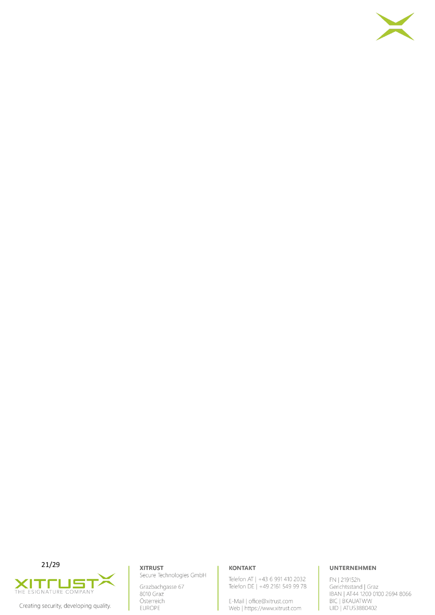



Creating security, developing quality.

**XITRUST** Secure Technologies GmbH

Grazbachgasse 67<br>8010 Graz Österreich **EUROPE** 

### **KONTAKT**

Telefon AT | +43 6 991 410 2032<br>Telefon DE | +49 2161 549 99 78

E-Mail | office@xitrust.com<br>Web | https://www.xitrust.com

#### **UNTERNEHMEN**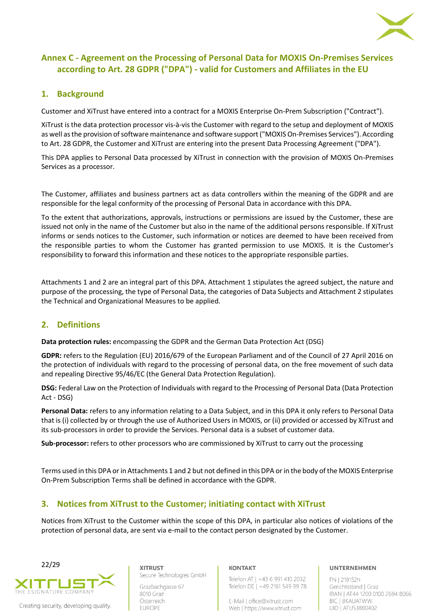

# <span id="page-21-0"></span>**Annex C - Agreement on the Processing of Personal Data for MOXIS On-Premises Services according to Art. 28 GDPR ("DPA") - valid for Customers and Affiliates in the EU**

## <span id="page-21-1"></span>**1. Background**

Customer and XiTrust have entered into a contract for a MOXIS Enterprise On-Prem Subscription ("Contract").

XiTrust is the data protection processor vis-à-vis the Customer with regard to the setup and deployment of MOXIS as well as the provision of software maintenance and software support ("MOXIS On-Premises Services"). According to Art. 28 GDPR, the Customer and XiTrust are entering into the present Data Processing Agreement ("DPA").

This DPA applies to Personal Data processed by XiTrust in connection with the provision of MOXIS On-Premises Services as a processor.

The Customer, affiliates and business partners act as data controllers within the meaning of the GDPR and are responsible for the legal conformity of the processing of Personal Data in accordance with this DPA.

To the extent that authorizations, approvals, instructions or permissions are issued by the Customer, these are issued not only in the name of the Customer but also in the name of the additional persons responsible. If XiTrust informs or sends notices to the Customer, such information or notices are deemed to have been received from the responsible parties to whom the Customer has granted permission to use MOXIS. It is the Customer's responsibility to forward this information and these notices to the appropriate responsible parties.

Attachments 1 and 2 are an integral part of this DPA. Attachment 1 stipulates the agreed subject, the nature and purpose of the processing, the type of Personal Data, the categories of Data Subjects and Attachment 2 stipulates the Technical and Organizational Measures to be applied.

## <span id="page-21-2"></span>**2. Definitions**

**Data protection rules:** encompassing the GDPR and the German Data Protection Act (DSG)

**GDPR:** refers to the Regulation (EU) 2016/679 of the European Parliament and of the Council of 27 April 2016 on the protection of individuals with regard to the processing of personal data, on the free movement of such data and repealing Directive 95/46/EC (the General Data Protection Regulation).

**DSG:** Federal Law on the Protection of Individuals with regard to the Processing of Personal Data (Data Protection Act - DSG)

**Personal Data:** refers to any information relating to a Data Subject, and in this DPA it only refers to Personal Data that is (i) collected by or through the use of Authorized Users in MOXIS, or (ii) provided or accessed by XiTrust and its sub-processors in order to provide the Services. Personal data is a subset of customer data.

**Sub-processor:** refers to other processors who are commissioned by XiTrust to carry out the processing

Terms used in this DPA or in Attachments 1 and 2 but not defined in this DPA or in the body of the MOXIS Enterprise On-Prem Subscription Terms shall be defined in accordance with the GDPR.

## <span id="page-21-3"></span>**3. Notices from XiTrust to the Customer; initiating contact with XiTrust**

Notices from XiTrust to the Customer within the scope of this DPA, in particular also notices of violations of the protection of personal data, are sent via e-mail to the contact person designated by the Customer.



**XITRUST** Secure Technologies GmbH

Grazbachgasse 67 8010 Graz Österreich **FUROPE** 

#### **KONTAKT**

Telefon AT | +43 6 991 410 2032 Telefon DE | +49 2161 549 99 78

E-Mail | office@xitrust.com Web | https://www.xitrust.com

#### **UNTERNEHMEN**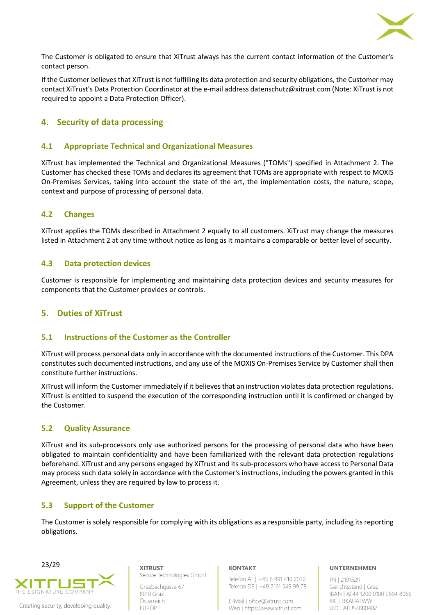

The Customer is obligated to ensure that XiTrust always has the current contact information of the Customer's contact person.

If the Customer believes that XiTrust is not fulfilling its data protection and security obligations, the Customer may contact XiTrust's Data Protection Coordinator at the e-mail address datenschutz@xitrust.com (Note: XiTrust is not required to appoint a Data Protection Officer).

## <span id="page-22-0"></span>**4. Security of data processing**

## <span id="page-22-1"></span>**4.1 Appropriate Technical and Organizational Measures**

XiTrust has implemented the Technical and Organizational Measures ("TOMs") specified in Attachment 2. The Customer has checked these TOMs and declares its agreement that TOMs are appropriate with respect to MOXIS On-Premises Services, taking into account the state of the art, the implementation costs, the nature, scope, context and purpose of processing of personal data.

## <span id="page-22-2"></span>**4.2 Changes**

XiTrust applies the TOMs described in Attachment 2 equally to all customers. XiTrust may change the measures listed in Attachment 2 at any time without notice as long as it maintains a comparable or better level of security.

## <span id="page-22-3"></span>**4.3 Data protection devices**

Customer is responsible for implementing and maintaining data protection devices and security measures for components that the Customer provides or controls.

## <span id="page-22-4"></span>**5. Duties of XiTrust**

## <span id="page-22-5"></span>**5.1 Instructions of the Customer as the Controller**

XiTrust will process personal data only in accordance with the documented instructions of the Customer. This DPA constitutes such documented instructions, and any use of the MOXIS On-Premises Service by Customer shall then constitute further instructions.

XiTrust will inform the Customer immediately if it believes that an instruction violates data protection regulations. XiTrust is entitled to suspend the execution of the corresponding instruction until it is confirmed or changed by the Customer.

## <span id="page-22-6"></span>**5.2 Quality Assurance**

XiTrust and its sub-processors only use authorized persons for the processing of personal data who have been obligated to maintain confidentiality and have been familiarized with the relevant data protection regulations beforehand. XiTrust and any persons engaged by XiTrust and its sub-processors who have access to Personal Data may process such data solely in accordance with the Customer's instructions, including the powers granted in this Agreement, unless they are required by law to process it.

## <span id="page-22-7"></span>**5.3 Support of the Customer**

The Customer is solely responsible for complying with its obligations as a responsible party, including its reporting obligations.



**XITRUST** Secure Technologies GmbH

Grazbachgasse 67 8010 Graz Österreich **EUROPE** 

#### **KONTAKT**

Telefon AT | +43 6 991 410 2032 Telefon DE | +49 2161 549 99 78

E-Mail | office@xitrust.com Web | https://www.xitrust.com

#### **UNTERNEHMEN**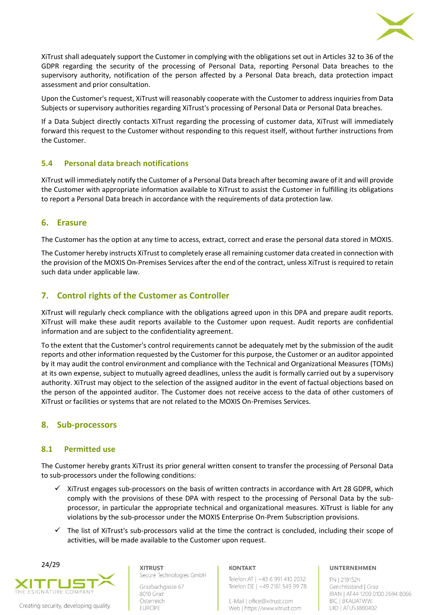

XiTrust shall adequately support the Customer in complying with the obligations set out in Articles 32 to 36 of the GDPR regarding the security of the processing of Personal Data, reporting Personal Data breaches to the supervisory authority, notification of the person affected by a Personal Data breach, data protection impact assessment and prior consultation.

Upon the Customer's request, XiTrust will reasonably cooperate with the Customer to address inquiries from Data Subjects or supervisory authorities regarding XiTrust's processing of Personal Data or Personal Data breaches.

If a Data Subject directly contacts XiTrust regarding the processing of customer data, XiTrust will immediately forward this request to the Customer without responding to this request itself, without further instructions from the Customer.

## <span id="page-23-0"></span>**5.4 Personal data breach notifications**

XiTrust will immediately notify the Customer of a Personal Data breach after becoming aware of it and will provide the Customer with appropriate information available to XiTrust to assist the Customer in fulfilling its obligations to report a Personal Data breach in accordance with the requirements of data protection law.

## <span id="page-23-1"></span>**6. Erasure**

The Customer has the option at any time to access, extract, correct and erase the personal data stored in MOXIS.

The Customer hereby instructs XiTrust to completely erase all remaining customer data created in connection with the provision of the MOXIS On-Premises Services after the end of the contract, unless XiTrust is required to retain such data under applicable law.

## <span id="page-23-2"></span>**7. Control rights of the Customer as Controller**

XiTrust will regularly check compliance with the obligations agreed upon in this DPA and prepare audit reports. XiTrust will make these audit reports available to the Customer upon request. Audit reports are confidential information and are subject to the confidentiality agreement.

To the extent that the Customer's control requirements cannot be adequately met by the submission of the audit reports and other information requested by the Customer for this purpose, the Customer or an auditor appointed by it may audit the control environment and compliance with the Technical and Organizational Measures (TOMs) at its own expense, subject to mutually agreed deadlines, unless the audit is formally carried out by a supervisory authority. XiTrust may object to the selection of the assigned auditor in the event of factual objections based on the person of the appointed auditor. The Customer does not receive access to the data of other customers of XiTrust or facilities or systems that are not related to the MOXIS On-Premises Services.

## <span id="page-23-3"></span>**8. Sub-processors**

## <span id="page-23-4"></span>**8.1 Permitted use**

The Customer hereby grants XiTrust its prior general written consent to transfer the processing of Personal Data to sub-processors under the following conditions:

- $\checkmark$  XiTrust engages sub-processors on the basis of written contracts in accordance with Art 28 GDPR, which comply with the provisions of these DPA with respect to the processing of Personal Data by the subprocessor, in particular the appropriate technical and organizational measures. XiTrust is liable for any violations by the sub-processor under the MOXIS Enterprise On-Prem Subscription provisions.
- ✓ The list of XiTrust's sub-processors valid at the time the contract is concluded, including their scope of activities, will be made available to the Customer upon request.



Creating security, developing quality.

**XITRUST** Secure Technologies GmbH

Grazbachgasse 67 8010 Graz Österreich **FUROPE** 

#### **KONTAKT**

Telefon AT | +43 6 991 410 2032 Telefon DE | +49 2161 549 99 78

E-Mail | office@xitrust.com Web | https://www.xitrust.com

### **UNTERNEHMEN**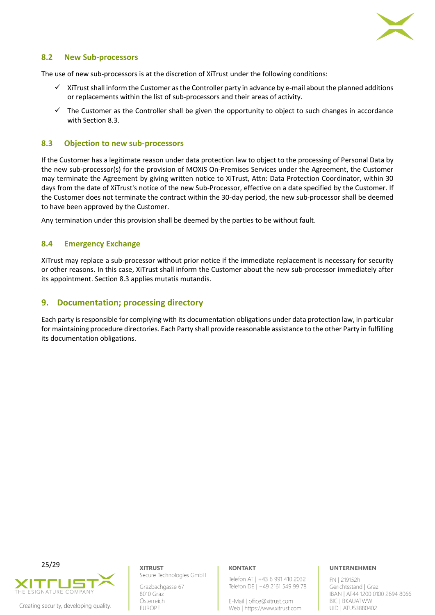

## <span id="page-24-0"></span>**8.2 New Sub-processors**

The use of new sub-processors is at the discretion of XiTrust under the following conditions:

- ✓ XiTrust shall inform the Customer as the Controller party in advance by e-mail about the planned additions or replacements within the list of sub-processors and their areas of activity.
- $\checkmark$  The Customer as the Controller shall be given the opportunity to object to such changes in accordance with Section 8.3.

## <span id="page-24-1"></span>**8.3 Objection to new sub-processors**

If the Customer has a legitimate reason under data protection law to object to the processing of Personal Data by the new sub-processor(s) for the provision of MOXIS On-Premises Services under the Agreement, the Customer may terminate the Agreement by giving written notice to XiTrust, Attn: Data Protection Coordinator, within 30 days from the date of XiTrust's notice of the new Sub-Processor, effective on a date specified by the Customer. If the Customer does not terminate the contract within the 30-day period, the new sub-processor shall be deemed to have been approved by the Customer.

Any termination under this provision shall be deemed by the parties to be without fault.

## <span id="page-24-2"></span>**8.4 Emergency Exchange**

XiTrust may replace a sub-processor without prior notice if the immediate replacement is necessary for security or other reasons. In this case, XiTrust shall inform the Customer about the new sub-processor immediately after its appointment. Section 8.3 applies mutatis mutandis.

## <span id="page-24-3"></span>**9. Documentation; processing directory**

Each party is responsible for complying with its documentation obligations under data protection law, in particular for maintaining procedure directories. Each Party shall provide reasonable assistance to the other Party in fulfilling its documentation obligations.



**XITRUST** Secure Technologies GmbH

Grazbachgasse 67 8010 Graz Österreich **EUROPE** 

#### **KONTAKT**

Telefon AT | +43 6 991 410 2032 Telefon DE | +49 2161 549 99 78

E-Mail | office@xitrust.com Web | https://www.xitrust.com

#### **UNTERNEHMEN**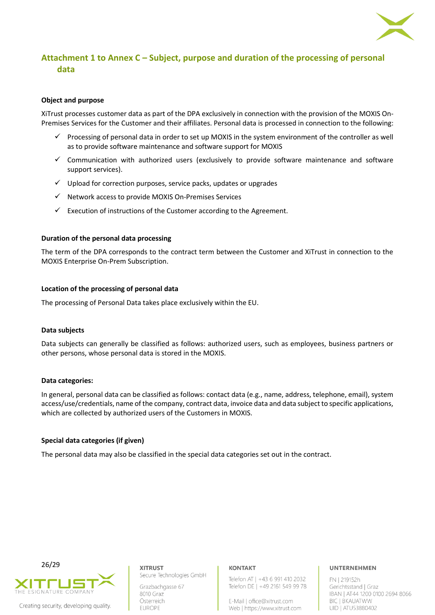

# <span id="page-25-0"></span>**Attachment 1 to Annex C – Subject, purpose and duration of the processing of personal data**

### **Object and purpose**

XiTrust processes customer data as part of the DPA exclusively in connection with the provision of the MOXIS On-Premises Services for the Customer and their affiliates. Personal data is processed in connection to the following:

- $\checkmark$  Processing of personal data in order to set up MOXIS in the system environment of the controller as well as to provide software maintenance and software support for MOXIS
- $\checkmark$  Communication with authorized users (exclusively to provide software maintenance and software support services).
- $\checkmark$  Upload for correction purposes, service packs, updates or upgrades
- ✓ Network access to provide MOXIS On-Premises Services
- $\checkmark$  Execution of instructions of the Customer according to the Agreement.

### **Duration of the personal data processing**

The term of the DPA corresponds to the contract term between the Customer and XiTrust in connection to the MOXIS Enterprise On-Prem Subscription.

### **Location of the processing of personal data**

The processing of Personal Data takes place exclusively within the EU.

### **Data subjects**

Data subjects can generally be classified as follows: authorized users, such as employees, business partners or other persons, whose personal data is stored in the MOXIS.

### **Data categories:**

In general, personal data can be classified as follows: contact data (e.g., name, address, telephone, email), system access/use/credentials, name of the company, contract data, invoice data and data subject to specific applications, which are collected by authorized users of the Customers in MOXIS.

## **Special data categories (if given)**

The personal data may also be classified in the special data categories set out in the contract.



**XITRUST** Secure Technologies GmbH

Grazbachgasse 67 8010 Graz Österreich EUROPE

### **KONTAKT**

Telefon AT | +43 6 991 410 2032 Telefon DE | +49 2161 549 99 78

E-Mail | office@xitrust.com Web | https://www.xitrust.com

#### **UNTERNEHMEN**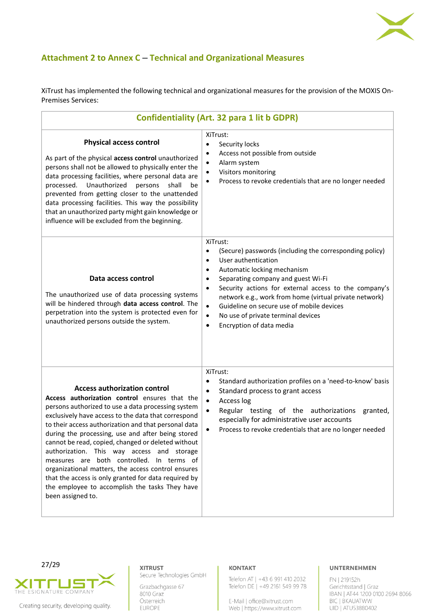

# <span id="page-26-0"></span>Attachment 2 to Annex C - Technical and Organizational Measures

XiTrust has implemented the following technical and organizational measures for the provision of the MOXIS On-**Premises Services:** 

| <b>Confidentiality (Art. 32 para 1 lit b GDPR)</b>                                                                                                                                                                                                                                                                                                                                                                                                                                                                                                                                                                                                   |                                                                                                                                                                                                                                                                                                                                                                                                                                                                                   |  |
|------------------------------------------------------------------------------------------------------------------------------------------------------------------------------------------------------------------------------------------------------------------------------------------------------------------------------------------------------------------------------------------------------------------------------------------------------------------------------------------------------------------------------------------------------------------------------------------------------------------------------------------------------|-----------------------------------------------------------------------------------------------------------------------------------------------------------------------------------------------------------------------------------------------------------------------------------------------------------------------------------------------------------------------------------------------------------------------------------------------------------------------------------|--|
| <b>Physical access control</b><br>As part of the physical access control unauthorized<br>persons shall not be allowed to physically enter the<br>data processing facilities, where personal data are<br>processed. Unauthorized<br>persons<br>shall<br>be<br>prevented from getting closer to the unattended<br>data processing facilities. This way the possibility<br>that an unauthorized party might gain knowledge or<br>influence will be excluded from the beginning.                                                                                                                                                                         | XiTrust:<br>Security locks<br>$\bullet$<br>Access not possible from outside<br>$\bullet$<br>Alarm system<br>Visitors monitoring<br>Process to revoke credentials that are no longer needed                                                                                                                                                                                                                                                                                        |  |
| Data access control<br>The unauthorized use of data processing systems<br>will be hindered through data access control. The<br>perpetration into the system is protected even for<br>unauthorized persons outside the system.                                                                                                                                                                                                                                                                                                                                                                                                                        | XiTrust:<br>(Secure) passwords (including the corresponding policy)<br>$\bullet$<br>User authentication<br>$\bullet$<br>Automatic locking mechanism<br>٠<br>Separating company and guest Wi-Fi<br>٠<br>Security actions for external access to the company's<br>$\bullet$<br>network e.g., work from home (virtual private network)<br>Guideline on secure use of mobile devices<br>$\bullet$<br>No use of private terminal devices<br>$\bullet$<br>Encryption of data media<br>٠ |  |
| <b>Access authorization control</b><br>Access authorization control ensures that the<br>persons authorized to use a data processing system<br>exclusively have access to the data that correspond<br>to their access authorization and that personal data<br>during the processing, use and after being stored<br>cannot be read, copied, changed or deleted without<br>authorization. This way access and storage<br>measures are both controlled. In terms of<br>organizational matters, the access control ensures<br>that the access is only granted for data required by<br>the employee to accomplish the tasks They have<br>been assigned to. | XiTrust:<br>Standard authorization profiles on a 'need-to-know' basis<br>٠<br>Standard process to grant access<br>٠<br>Access log<br>$\bullet$<br>Regular testing of the authorizations<br>$\bullet$<br>granted,<br>especially for administrative user accounts<br>Process to revoke credentials that are no longer needed                                                                                                                                                        |  |



Creating security, developing quality.

**XITRUST** Secure Technologies GmbH

Grazbachgasse 67 8010 Graz Österreich **EUROPE** 

#### **KONTAKT**

Telefon AT | +43 6 991 410 2032 Telefon DE | +49 2161 549 99 78

E-Mail | office@xitrust.com Web | https://www.xitrust.com

#### **UNTERNEHMEN**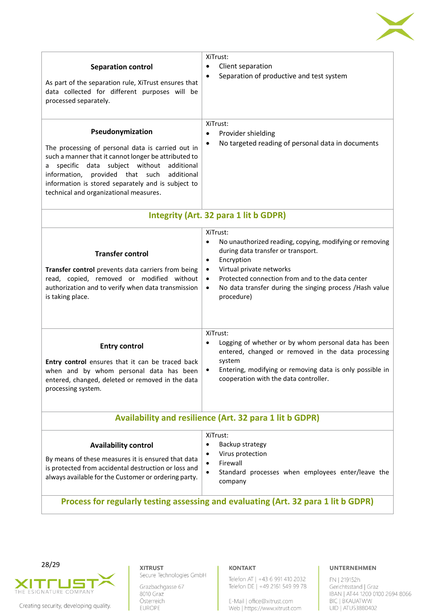

| <b>Separation control</b><br>As part of the separation rule, XiTrust ensures that<br>data collected for different purposes will be<br>processed separately.                                                                                                                                                                        | XiTrust:<br>Client separation<br>٠<br>Separation of productive and test system<br>$\bullet$<br>XiTrust:                                                                                                                                                                                                                                    |  |
|------------------------------------------------------------------------------------------------------------------------------------------------------------------------------------------------------------------------------------------------------------------------------------------------------------------------------------|--------------------------------------------------------------------------------------------------------------------------------------------------------------------------------------------------------------------------------------------------------------------------------------------------------------------------------------------|--|
| Pseudonymization<br>The processing of personal data is carried out in<br>such a manner that it cannot longer be attributed to<br>specific data subject without<br>additional<br>a<br>information, provided that such<br>additional<br>information is stored separately and is subject to<br>technical and organizational measures. | Provider shielding<br>$\bullet$<br>No targeted reading of personal data in documents                                                                                                                                                                                                                                                       |  |
|                                                                                                                                                                                                                                                                                                                                    | Integrity (Art. 32 para 1 lit b GDPR)                                                                                                                                                                                                                                                                                                      |  |
| <b>Transfer control</b><br>Transfer control prevents data carriers from being<br>read, copied, removed or modified without<br>authorization and to verify when data transmission<br>is taking place.                                                                                                                               | XiTrust:<br>No unauthorized reading, copying, modifying or removing<br>٠<br>during data transfer or transport.<br>Encryption<br>$\bullet$<br>Virtual private networks<br>$\bullet$<br>Protected connection from and to the data center<br>$\bullet$<br>No data transfer during the singing process / Hash value<br>$\bullet$<br>procedure) |  |
| <b>Entry control</b><br>Entry control ensures that it can be traced back<br>when and by whom personal data has been<br>entered, changed, deleted or removed in the data<br>processing system.                                                                                                                                      | XiTrust:<br>Logging of whether or by whom personal data has been<br>entered, changed or removed in the data processing<br>system<br>Entering, modifying or removing data is only possible in<br>cooperation with the data controller.                                                                                                      |  |
| <b>Availability and resilience (Art. 32 para 1 lit b GDPR)</b>                                                                                                                                                                                                                                                                     |                                                                                                                                                                                                                                                                                                                                            |  |
| <b>Availability control</b><br>By means of these measures it is ensured that data<br>is protected from accidental destruction or loss and<br>always available for the Customer or ordering party.                                                                                                                                  | XiTrust:<br>Backup strategy<br>٠<br>Virus protection<br>$\bullet$<br>Firewall<br>$\bullet$<br>Standard processes when employees enter/leave the<br>company<br>Process for regularly testing assessing and evaluating (Art. 32 para 1 lit b GDPR)                                                                                           |  |



Creating security, developing quality.

**XITRUST** Secure Technologies GmbH

Grazbachgasse 67<br>8010 Graz Österreich **EUROPE** 

### **KONTAKT**

Telefon AT | +43 6 991 410 2032<br>Telefon DE | +49 2161 549 99 78

E-Mail | office@xitrust.com<br>Web | https://www.xitrust.com

#### **UNTERNEHMEN**